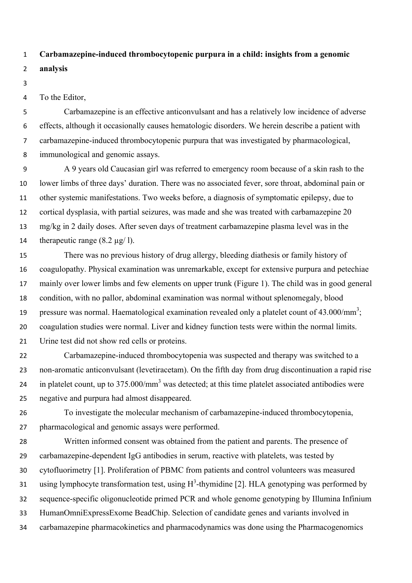## **Carbamazepine-induced thrombocytopenic purpura in a child: insights from a genomic**

## **analysis**

## To the Editor,

 Carbamazepine is an effective anticonvulsant and has a relatively low incidence of adverse effects, although it occasionally causes hematologic disorders. We herein describe a patient with carbamazepine-induced thrombocytopenic purpura that was investigated by pharmacological, immunological and genomic assays.

 A 9 years old Caucasian girl was referred to emergency room because of a skin rash to the lower limbs of three days' duration. There was no associated fever, sore throat, abdominal pain or other systemic manifestations. Two weeks before, a diagnosis of symptomatic epilepsy, due to cortical dysplasia, with partial seizures, was made and she was treated with carbamazepine 20 mg/kg in 2 daily doses. After seven days of treatment carbamazepine plasma level was in the 14 therapeutic range  $(8.2 \mu g/l)$ .

 There was no previous history of drug allergy, bleeding diathesis or family history of coagulopathy. Physical examination was unremarkable, except for extensive purpura and petechiae mainly over lower limbs and few elements on upper trunk (Figure 1). The child was in good general condition, with no pallor, abdominal examination was normal without splenomegaly, blood 19 pressure was normal. Haematological examination revealed only a platelet count of  $43.000/\text{mm}^3$ ; coagulation studies were normal. Liver and kidney function tests were within the normal limits. Urine test did not show red cells or proteins.

 Carbamazepine-induced thrombocytopenia was suspected and therapy was switched to a non-aromatic anticonvulsant (levetiracetam). On the fifth day from drug discontinuation a rapid rise 24 in platelet count, up to  $375.000/\text{mm}^3$  was detected; at this time platelet associated antibodies were negative and purpura had almost disappeared.

 To investigate the molecular mechanism of carbamazepine-induced thrombocytopenia, pharmacological and genomic assays were performed.

 Written informed consent was obtained from the patient and parents. The presence of carbamazepine-dependent IgG antibodies in serum, reactive with platelets, was tested by cytofluorimetry [1]. Proliferation of PBMC from patients and control volunteers was measured 31 using lymphocyte transformation test, using  $H^3$ -thymidine [2]. HLA genotyping was performed by sequence-specific oligonucleotide primed PCR and whole genome genotyping by Illumina Infinium HumanOmniExpressExome BeadChip. Selection of candidate genes and variants involved in carbamazepine pharmacokinetics and pharmacodynamics was done using the Pharmacogenomics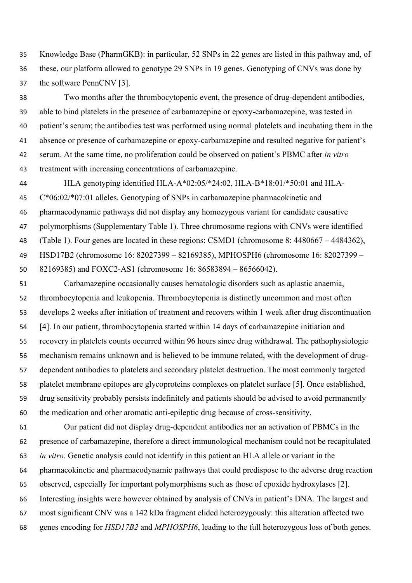Knowledge Base (PharmGKB): in particular, 52 SNPs in 22 genes are listed in this pathway and, of these, our platform allowed to genotype 29 SNPs in 19 genes. Genotyping of CNVs was done by the software PennCNV [3].

 Two months after the thrombocytopenic event, the presence of drug-dependent antibodies, able to bind platelets in the presence of carbamazepine or epoxy-carbamazepine, was tested in patient's serum; the antibodies test was performed using normal platelets and incubating them in the absence or presence of carbamazepine or epoxy-carbamazepine and resulted negative for patient's serum. At the same time, no proliferation could be observed on patient's PBMC after *in vitro* treatment with increasing concentrations of carbamazepine.

 HLA genotyping identified HLA-A\*02:05/\*24:02, HLA-B\*18:01/\*50:01 and HLA- C\*06:02/\*07:01 alleles. Genotyping of SNPs in carbamazepine pharmacokinetic and pharmacodynamic pathways did not display any homozygous variant for candidate causative polymorphisms (Supplementary Table 1). Three chromosome regions with CNVs were identified (Table 1). Four genes are located in these regions: CSMD1 (chromosome 8: 4480667 – 4484362), HSD17B2 (chromosome 16: 82027399 – 82169385), MPHOSPH6 (chromosome 16: 82027399 – 82169385) and FOXC2-AS1 (chromosome 16: 86583894 – 86566042).

 Carbamazepine occasionally causes hematologic disorders such as aplastic anaemia, thrombocytopenia and leukopenia. Thrombocytopenia is distinctly uncommon and most often develops 2 weeks after initiation of treatment and recovers within 1 week after drug discontinuation [4]. In our patient, thrombocytopenia started within 14 days of carbamazepine initiation and recovery in platelets counts occurred within 96 hours since drug withdrawal. The pathophysiologic mechanism remains unknown and is believed to be immune related, with the development of drug- dependent antibodies to platelets and secondary platelet destruction. The most commonly targeted platelet membrane epitopes are glycoproteins complexes on platelet surface [5]. Once established, drug sensitivity probably persists indefinitely and patients should be advised to avoid permanently the medication and other aromatic anti-epileptic drug because of cross-sensitivity.

 Our patient did not display drug-dependent antibodies nor an activation of PBMCs in the presence of carbamazepine, therefore a direct immunological mechanism could not be recapitulated *in vitro*. Genetic analysis could not identify in this patient an HLA allele or variant in the pharmacokinetic and pharmacodynamic pathways that could predispose to the adverse drug reaction observed, especially for important polymorphisms such as those of epoxide hydroxylases [2]. Interesting insights were however obtained by analysis of CNVs in patient's DNA. The largest and most significant CNV was a 142 kDa fragment elided heterozygously: this alteration affected two genes encoding for *HSD17B2* and *MPHOSPH6*, leading to the full heterozygous loss of both genes.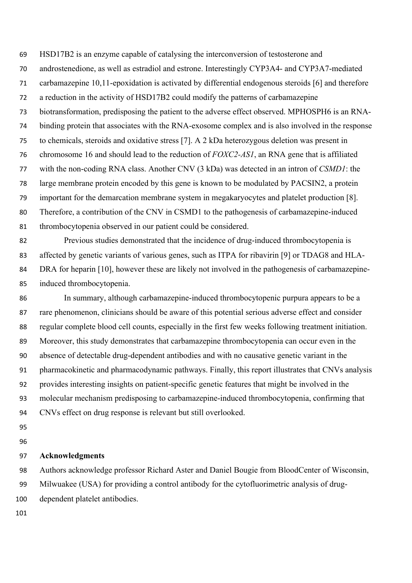HSD17B2 is an enzyme capable of catalysing the interconversion of testosterone and

androstenedione, as well as estradiol and estrone. Interestingly CYP3A4- and CYP3A7-mediated

carbamazepine 10,11-epoxidation is activated by differential endogenous steroids [6] and therefore

a reduction in the activity of HSD17B2 could modify the patterns of carbamazepine

biotransformation, predisposing the patient to the adverse effect observed. MPHOSPH6 is an RNA-

binding protein that associates with the RNA-exosome complex and is also involved in the response

to chemicals, steroids and oxidative stress [7]. A 2 kDa heterozygous deletion was present in

chromosome 16 and should lead to the reduction of *FOXC2-AS1*, an RNA gene that is affiliated

with the non-coding RNA class. Another CNV (3 kDa) was detected in an intron of *CSMD1*: the

large membrane protein encoded by this gene is known to be modulated by PACSIN2, a protein

important for the demarcation membrane system in megakaryocytes and platelet production [8].

 Therefore, a contribution of the CNV in CSMD1 to the pathogenesis of carbamazepine-induced thrombocytopenia observed in our patient could be considered.

 Previous studies demonstrated that the incidence of drug-induced thrombocytopenia is affected by genetic variants of various genes, such as ITPA for ribavirin [9] or TDAG8 and HLA-84 DRA for heparin [10], however these are likely not involved in the pathogenesis of carbamazepine-induced thrombocytopenia.

 In summary, although carbamazepine-induced thrombocytopenic purpura appears to be a rare phenomenon, clinicians should be aware of this potential serious adverse effect and consider regular complete blood cell counts, especially in the first few weeks following treatment initiation. Moreover, this study demonstrates that carbamazepine thrombocytopenia can occur even in the absence of detectable drug-dependent antibodies and with no causative genetic variant in the pharmacokinetic and pharmacodynamic pathways. Finally, this report illustrates that CNVs analysis provides interesting insights on patient-specific genetic features that might be involved in the molecular mechanism predisposing to carbamazepine-induced thrombocytopenia, confirming that CNVs effect on drug response is relevant but still overlooked.

## **Acknowledgments**

Authors acknowledge professor Richard Aster and Daniel Bougie from BloodCenter of Wisconsin,

Milwuakee (USA) for providing a control antibody for the cytofluorimetric analysis of drug-

dependent platelet antibodies.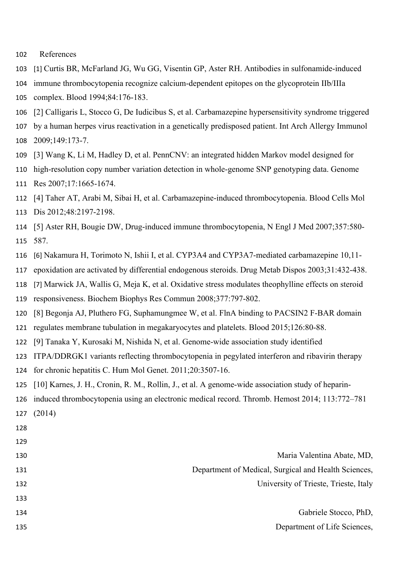- References
- 103 [1] Curtis BR, McFarland JG, Wu GG, Visentin GP, Aster RH. Antibodies in sulfonamide-induced
- immune thrombocytopenia recognize calcium-dependent epitopes on the glycoprotein IIb/IIIa
- complex. Blood 1994;84:176-183.
- [2] Calligaris L, Stocco G, De Iudicibus S, et al. Carbamazepine hypersensitivity syndrome triggered
- by a human herpes virus reactivation in a genetically predisposed patient. Int Arch Allergy Immunol 2009;149:173-7.
- [3] Wang K, Li M, Hadley D, et al. PennCNV: an integrated hidden Markov model designed for
- high-resolution copy number variation detection in whole-genome SNP genotyping data. Genome Res 2007;17:1665-1674.
- [4] Taher AT, Arabi M, Sibai H, et al. Carbamazepine-induced thrombocytopenia. Blood Cells Mol
- Dis 2012;48:2197-2198.
- [5] Aster RH, Bougie DW, Drug-induced immune thrombocytopenia, N Engl J Med 2007;357:580- 587.
- 116 [6] Nakamura H, Torimoto N, Ishii I, et al. CYP3A4 and CYP3A7-mediated carbamazepine 10,11-
- epoxidation are activated by differential endogenous steroids. Drug Metab Dispos 2003;31:432-438.
- 118 [7] Marwick JA, Wallis G, Meja K, et al. Oxidative stress modulates theophylline effects on steroid
- responsiveness. Biochem Biophys Res Commun 2008;377:797-802.
- [8] Begonja AJ, Pluthero FG, Suphamungmee W, et al. FlnA binding to PACSIN2 F-BAR domain
- regulates membrane tubulation in megakaryocytes and platelets. Blood 2015;126:80-88.
- [9] Tanaka Y, Kurosaki M, Nishida N, et al. Genome-wide association study identified
- ITPA/DDRGK1 variants reflecting thrombocytopenia in pegylated interferon and ribavirin therapy
- for chronic hepatitis C. Hum Mol Genet. 2011;20:3507-16.
- [10] Karnes, J. H., Cronin, R. M., Rollin, J., et al. A genome-wide association study of heparin-
- induced thrombocytopenia using an electronic medical record. Thromb. Hemost 2014; 113:772–781 (2014)
- 

|                                                      | 129 |
|------------------------------------------------------|-----|
| Maria Valentina Abate, MD,                           | 130 |
| Department of Medical, Surgical and Health Sciences, | 131 |
| University of Trieste, Trieste, Italy                | 132 |
|                                                      | 133 |
| Gabriele Stocco, PhD,                                | 134 |
|                                                      |     |

Department of Life Sciences,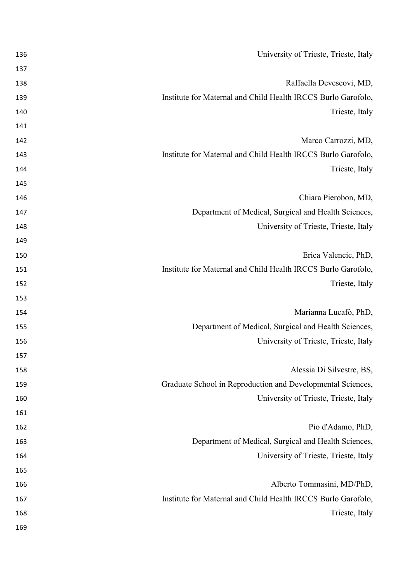| 136 | University of Trieste, Trieste, Italy                         |
|-----|---------------------------------------------------------------|
| 137 |                                                               |
| 138 | Raffaella Devescovi, MD,                                      |
| 139 | Institute for Maternal and Child Health IRCCS Burlo Garofolo, |
| 140 | Trieste, Italy                                                |
| 141 |                                                               |
| 142 | Marco Carrozzi, MD,                                           |
| 143 | Institute for Maternal and Child Health IRCCS Burlo Garofolo, |
| 144 | Trieste, Italy                                                |
| 145 |                                                               |
| 146 | Chiara Pierobon, MD,                                          |
| 147 | Department of Medical, Surgical and Health Sciences,          |
| 148 | University of Trieste, Trieste, Italy                         |
| 149 |                                                               |
| 150 | Erica Valencic, PhD,                                          |
| 151 | Institute for Maternal and Child Health IRCCS Burlo Garofolo, |
| 152 | Trieste, Italy                                                |
| 153 |                                                               |
| 154 | Marianna Lucafò, PhD,                                         |
| 155 | Department of Medical, Surgical and Health Sciences,          |
| 156 | University of Trieste, Trieste, Italy                         |
| 157 |                                                               |
| 158 | Alessia Di Silvestre, BS,                                     |
| 159 | Graduate School in Reproduction and Developmental Sciences,   |
| 160 | University of Trieste, Trieste, Italy                         |
| 161 |                                                               |
| 162 | Pio d'Adamo, PhD,                                             |
| 163 | Department of Medical, Surgical and Health Sciences,          |
| 164 | University of Trieste, Trieste, Italy                         |
| 165 |                                                               |
| 166 | Alberto Tommasini, MD/PhD,                                    |
| 167 | Institute for Maternal and Child Health IRCCS Burlo Garofolo, |
| 168 | Trieste, Italy                                                |
| 169 |                                                               |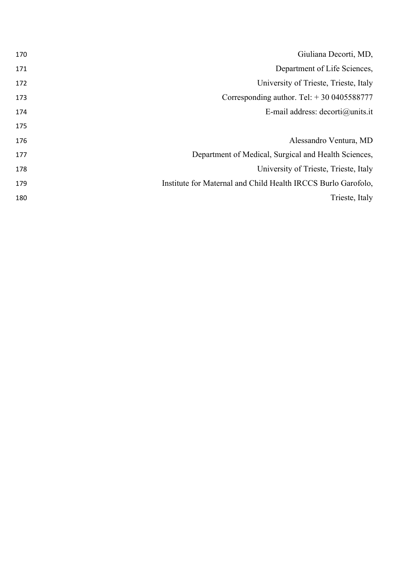| Giuliana Decorti, MD,                                         | 170 |
|---------------------------------------------------------------|-----|
| Department of Life Sciences,                                  | 171 |
| University of Trieste, Trieste, Italy                         | 172 |
| Corresponding author. Tel: $+300405588777$                    | 173 |
| E-mail address: $decorti@units.it$                            | 174 |
|                                                               | 175 |
| Alessandro Ventura, MD                                        | 176 |
| Department of Medical, Surgical and Health Sciences,          | 177 |
| University of Trieste, Trieste, Italy                         | 178 |
| Institute for Maternal and Child Health IRCCS Burlo Garofolo, | 179 |
| Trieste, Italy                                                | 180 |
|                                                               |     |